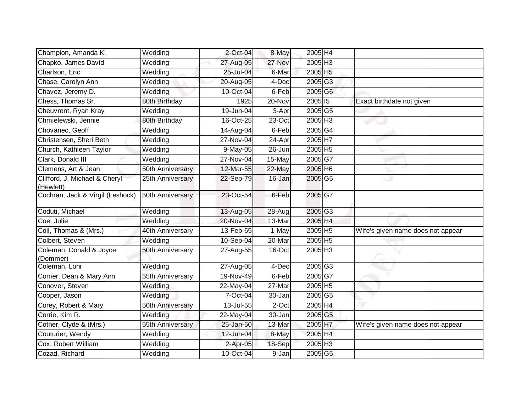| Champion, Amanda K.                        | Wedding               | 2-Oct-04    | 8-May  | 2005 H4                    |                                   |
|--------------------------------------------|-----------------------|-------------|--------|----------------------------|-----------------------------------|
| Chapko, James David                        | Wedding               | 27-Aug-05   | 27-Nov | 2005 H <sub>3</sub>        |                                   |
| Charlson, Eric                             | Wedding               | 25-Jul-04   | 6-Mar  | 2005 H5                    |                                   |
| Chase, Carolyn Ann                         | Wedding               | 20-Aug-05   | 4-Dec  | 2005 G3                    |                                   |
| Chavez, Jeremy D.                          | Wedding               | 10-Oct-04   | 6-Feb  | 2005 G6                    |                                   |
| Chess, Thomas Sr.                          | 80th Birthday         | 1925        | 20-Nov | $2005\overline{15}$        | Exact birthdate not given         |
| Cheuvront, Ryan Kray                       | Wedding               | 19-Jun-04   | 3-Apr  | $2005\overline{\text{G5}}$ |                                   |
| Chmielewski, Jennie                        | 80th Birthday         | 16-Oct-25   | 23-Oct | 2005 H3                    |                                   |
| Chovanec, Geoff                            | Wedding               | 14-Aug-04   | 6-Feb  | 2005 G4                    |                                   |
| Christensen, Sheri Beth                    | Wedding               | 27-Nov-04   | 24-Apr | 2005 H7                    |                                   |
| Church, Kathleen Taylor                    | Wedding               | 9-May-05    | 26-Jun | 2005 H5                    |                                   |
| Clark, Donald III                          | Wedding               | 27-Nov-04   | 15-May | 2005G7                     |                                   |
| Clemens, Art & Jean                        | 50th Anniversary      | 12-Mar-55   | 22-May | 2005 H6                    |                                   |
| Clifford, J. Michael & Cheryl<br>(Hewlett) | 25th Anniversary      | 22-Sep-79   | 16-Jan | 2005 G5                    |                                   |
| Cochran, Jack & Virgil (Leshock)           | 50th Anniversary      | 23-Oct-54   | 6-Feb  | 2005G7                     |                                   |
| Coduti, Michael                            | Wedding               | 13-Aug-05   | 28-Aug | $2005\overline{\text{G3}}$ |                                   |
| Coe, Julie                                 | Wedding               | 20-Nov-04   | 13-Mar | 2005 H4                    |                                   |
| Coil, Thomas & (Mrs.)                      | 40th Anniversary      | 13-Feb-65   | 1-May  | 2005 H5                    | Wife's given name does not appear |
| Colbert, Steven                            | Wedding               | 10-Sep-04   | 20-Mar | 2005 H5                    |                                   |
| Coleman, Donald & Joyce<br>(Dommer)        | 50th Anniversary      | 27-Aug-55   | 16-Oct | 2005 H3                    |                                   |
| Coleman, Loni                              | Wedding               | 27-Aug-05   | 4-Dec  | $2005\sqrt{G3}$            |                                   |
| Comer, Dean & Mary Ann                     | 55th Anniversary      | 19-Nov-49   | 6-Feb  | 2005 G7                    |                                   |
| Conover, Steven                            | Wedding               | $22-May-04$ | 27-Mar | 2005 H5                    |                                   |
| Cooper, Jason                              | Wedding               | 7-Oct-04    | 30-Jan | $2005\overline{\text{G5}}$ |                                   |
| Corey, Robert & Mary                       | 50th Anniversary      | 13-Jul-55   | 2-Oct  | 2005 H4                    |                                   |
| Corrie, Kim R.                             | Wedding               | $22-May-04$ | 30-Jan | 2005 G5                    |                                   |
| Cotner, Clyde & (Mrs.)                     | 55th Anniversary      | 25-Jan-50   | 13-Mar | 2005 H7                    | Wife's given name does not appear |
| Couturier, Wendy                           | Wedding               | 12-Jun-04   | 8-May  | 2005 H4                    |                                   |
| Cox, Robert William                        | Wedding               | 2-Apr-05    | 18-Sep | 2005 H3                    |                                   |
| Cozad, Richard                             | $\overline{W}$ edding | 10-Oct-04   | 9-Jan  | 2005 G5                    |                                   |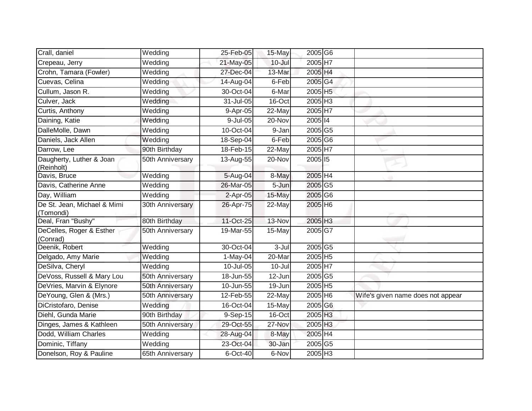| Crall, daniel                            | Wedding          | 25-Feb-05  | 15-May     | 2005 G6               |                                   |
|------------------------------------------|------------------|------------|------------|-----------------------|-----------------------------------|
| Crepeau, Jerry                           | Wedding          | 21-May-05  | $10 -$ Jul | 2005 H7               |                                   |
| Crohn, Tamara (Fowler)                   | Wedding          | 27-Dec-04  | 13-Mar     | 2005 H4               |                                   |
| Cuevas, Celina                           | Wedding          | 14-Aug-04  | 6-Feb      | 2005 G4               |                                   |
| Cullum, Jason R.                         | Wedding          | 30-Oct-04  | 6-Mar      | 2005 H5               |                                   |
| Culver, Jack                             | Wedding          | 31-Jul-05  | 16-Oct     | $2005$ H <sub>3</sub> |                                   |
| Curtis, Anthony                          | Wedding          | 9-Apr-05   | 22-May     | $2005$ H7             |                                   |
| Daining, Katie                           | Wedding          | 9-Jul-05   | 20-Nov     | 2005 14               |                                   |
| DalleMolle, Dawn                         | Wedding          | 10-Oct-04  | 9-Jan      | 2005 G5               |                                   |
| Daniels, Jack Allen                      | Wedding          | 18-Sep-04  | 6-Feb      | 2005 G6               |                                   |
| Darrow, Lee                              | 90th Birthday    | 18-Feb-15  | 22-May     | 2005 H7               |                                   |
| Daugherty, Luther & Joan<br>(Reinholt)   | 50th Anniversary | 13-Aug-55  | 20-Nov     | 2005 15               |                                   |
| Davis, Bruce                             | Wedding          | 5-Aug-04   | 8-May      | 2005 H4               |                                   |
| Davis, Catherine Anne                    | Wedding          | 26-Mar-05  | 5-Jun      | 2005 G5               |                                   |
| Day, William                             | Wedding          | 2-Apr-05   | 15-May     | 2005 G6               |                                   |
| De St. Jean, Michael & Mimi<br>(Tomondi) | 30th Anniversary | 26-Apr-75  | 22-May     | 2005 H6               |                                   |
| Deal, Fran "Bushy"                       | 80th Birthday    | 11-Oct-25  | 13-Nov     | 2005 H3               |                                   |
| DeCelles, Roger & Esther<br>(Conrad)     | 50th Anniversary | 19-Mar-55  | 15-May     | 2005 G7               |                                   |
| Deenik, Robert                           | Wedding          | 30-Oct-04  | 3-Jul      | 2005 G5               |                                   |
| Delgado, Amy Marie                       | Wedding          | $1-May-04$ | 20-Mar     | 2005 H5               |                                   |
| DeSilva, Cheryl                          | Wedding          | 10-Jul-05  | $10 -$ Jul | $2005$ H7             |                                   |
| DeVoss, Russell & Mary Lou               | 50th Anniversary | 18-Jun-55  | 12-Jun     | 2005 G5               |                                   |
| DeVries, Marvin & Elynore                | 50th Anniversary | 10-Jun-55  | 19-Jun     | 2005 H5               |                                   |
| DeYoung, Glen & (Mrs.)                   | 50th Anniversary | 12-Feb-55  | 22-May     | $2005$ H <sub>6</sub> | Wife's given name does not appear |
| DiCristofaro, Denise                     | Wedding          | 16-Oct-04  | 15-May     | 2005 G6               |                                   |
| Diehl, Gunda Marie                       | 90th Birthday    | 9-Sep-15   | 16-Oct     | 2005 H3               |                                   |
| Dinges, James & Kathleen                 | 50th Anniversary | 29-Oct-55  | 27-Nov     | 2005 H <sub>3</sub>   |                                   |
| Dodd, William Charles                    | Wedding          | 28-Aug-04  | 8-May      | 2005 H4               |                                   |
| Dominic, Tiffany                         | Wedding          | 23-Oct-04  | 30-Jan     | 2005 G5               |                                   |
| Donelson, Roy & Pauline                  | 65th Anniversary | 6-Oct-40   | 6-Nov      | 2005 H3               |                                   |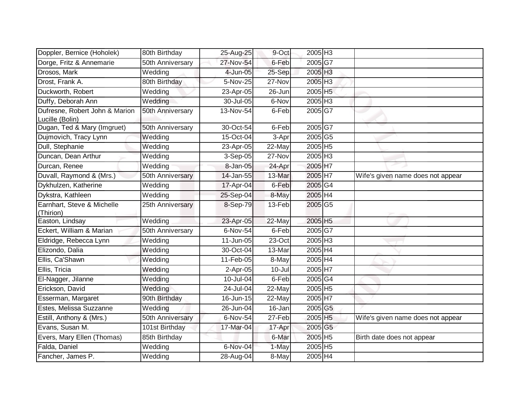| Doppler, Bernice (Hoholek)                        | 80th Birthday    | 25-Aug-25 | 9-Oct      | 2005 H3                    |                                   |
|---------------------------------------------------|------------------|-----------|------------|----------------------------|-----------------------------------|
| Dorge, Fritz & Annemarie                          | 50th Anniversary | 27-Nov-54 | 6-Feb      | 2005 G7                    |                                   |
| Drosos, Mark                                      | Wedding          | 4-Jun-05  | 25-Sep     | 2005 H <sub>3</sub>        |                                   |
| Drost, Frank A.                                   | 80th Birthday    | 5-Nov-25  | 27-Nov     | 2005 H <sub>3</sub>        |                                   |
| Duckworth, Robert                                 | Wedding          | 23-Apr-05 | 26-Jun     | 2005 H5                    |                                   |
| Duffy, Deborah Ann                                | Wedding          | 30-Jul-05 | 6-Nov      | 2005 H3                    |                                   |
| Dufresne, Robert John & Marion<br>Lucille (Bolin) | 50th Anniversary | 13-Nov-54 | 6-Feb      | 2005 G7                    |                                   |
| Dugan, Ted & Mary (Imgruet)                       | 50th Anniversary | 30-Oct-54 | 6-Feb      | 2005 G7                    |                                   |
| Dujmovich, Tracy Lynn                             | Wedding          | 15-Oct-04 | 3-Apr      | 2005 G5                    |                                   |
| Dull, Stephanie                                   | Wedding          | 23-Apr-05 | 22-May     | 2005 H5                    |                                   |
| Duncan, Dean Arthur                               | Wedding          | 3-Sep-05  | 27-Nov     | $2005$ H <sub>3</sub>      |                                   |
| Durcan, Renee                                     | Wedding          | 8-Jan-05  | 24-Apr     | 2005 H7                    |                                   |
| Duvall, Raymond & (Mrs.)                          | 50th Anniversary | 14-Jan-55 | 13-Mar     | 2005 H7                    | Wife's given name does not appear |
| Dykhulzen, Katherine                              | Wedding          | 17-Apr-04 | 6-Feb      | 2005 G4                    |                                   |
| Dykstra, Kathleen                                 | Wedding          | 25-Sep-04 | 8-May      | 2005 H4                    |                                   |
| Earnhart, Steve & Michelle<br>(Thirion)           | 25th Anniversary | 8-Sep-79  | 13-Feb     | 2005 G5                    |                                   |
| Easton, Lindsay                                   | Wedding          | 23-Apr-05 | 22-May     | 2005 H5                    |                                   |
| Eckert, William & Marian                          | 50th Anniversary | 6-Nov-54  | 6-Feb      | 2005 G7                    |                                   |
| Eldridge, Rebecca Lynn                            | Wedding          | 11-Jun-05 | 23-Oct     | $2005$ H <sub>3</sub>      |                                   |
| Elizondo, Dalia                                   | Wedding          | 30-Oct-04 | 13-Mar     | 2005 H4                    |                                   |
| Ellis, Ca'Shawn                                   | Wedding          | 11-Feb-05 | 8-May      | 2005 H4                    |                                   |
| Ellis, Tricia                                     | Wedding          | 2-Apr-05  | $10 -$ Jul | 2005 H7                    |                                   |
| El-Nagger, Jilanne                                | Wedding          | 10-Jul-04 | 6-Feb      | $2005\overline{\text{G4}}$ |                                   |
| Erickson, David                                   | Wedding          | 24-Jul-04 | 22-May     | 2005 H5                    |                                   |
| Esserman, Margaret                                | 90th Birthday    | 16-Jun-15 | 22-May     | 2005 H7                    |                                   |
| Estes, Melissa Suzzanne                           | Wedding          | 26-Jun-04 | 16-Jan     | 2005 G5                    |                                   |
| Estill, Anthony & (Mrs.)                          | 50th Anniversary | 6-Nov-54  | 27-Feb     | 2005 H5                    | Wife's given name does not appear |
| Evans, Susan M.                                   | 101st Birthday   | 17-Mar-04 | 17-Apr     | 2005 G5                    |                                   |
| Evers, Mary Ellen (Thomas)                        | 85th Birthday    |           | 6-Mar      | 2005 H5                    | Birth date does not appear        |
| Falda, Daniel                                     | Wedding          | 6-Nov-04  | 1-May      | 2005 H5                    |                                   |
| Fancher, James P.                                 | Wedding          | 28-Aug-04 | 8-May      | 2005 H4                    |                                   |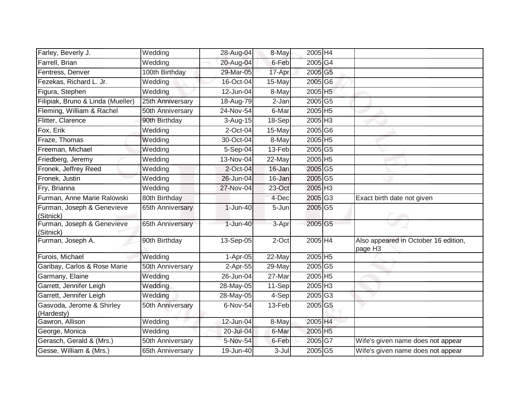| Farley, Beverly J.                      | Wedding               | 28-Aug-04    | 8-May  | 2005 H4               |                                                             |
|-----------------------------------------|-----------------------|--------------|--------|-----------------------|-------------------------------------------------------------|
| Farrell, Brian                          | Wedding               | 20-Aug-04    | 6-Feb  | 2005 G4               |                                                             |
| Fentress, Denver                        | 100th Birthday        | 29-Mar-05    | 17-Apr | 2005 G5               |                                                             |
| Fezekas, Richard L. Jr.                 | Wedding               | 16-Oct-04    | 15-May | 2005 G6               |                                                             |
| Figura, Stephen                         | Wedding               | $12$ -Jun-04 | 8-May  | 2005 H5               |                                                             |
| Filipiak, Bruno & Linda (Mueller)       | 25th Anniversary      | 18-Aug-79    | 2-Jan  | 2005 G5               |                                                             |
| Fleming, William & Rachel               | 50th Anniversary      | 24-Nov-54    | 6-Mar  | 2005 H5               |                                                             |
| Flitter, Clarence                       | 90th Birthday         | 3-Aug-15     | 18-Sep | 2005 H3               |                                                             |
| Fox, Erik                               | Wedding               | $2$ -Oct-04  | 15-May | 2005 G6               |                                                             |
| Fraze, Thomas                           | Wedding               | 30-Oct-04    | 8-May  | 2005 H5               |                                                             |
| Freeman, Michael                        | Wedding               | 5-Sep-04     | 13-Feb | 2005 G5               |                                                             |
| Friedberg, Jeremy                       | Wedding               | 13-Nov-04    | 22-May | $2005$ H <sub>5</sub> |                                                             |
| Fronek, Jeffrey Reed                    | Wedding               | 2-Oct-04     | 16-Jan | 2005 G5               |                                                             |
| Fronek, Justin                          | Wedding               | 26-Jun-04    | 16-Jan | 2005 G5               |                                                             |
| Fry, Brianna                            | Wedding               | 27-Nov-04    | 23-Oct | 2005 H3               |                                                             |
| Furman, Anne Marie Ralowski             | 80th Birthday         |              | 4-Dec  | 2005 G3               | Exact birth date not given                                  |
| Furman, Joseph & Genevieve<br>(Sitnick) | 65th Anniversary      | $1$ -Jun-40  | 5-Jun  | 2005 G5               |                                                             |
| Furman, Joseph & Genevieve<br>(Sitnick) | 65th Anniversary      | 1-Jun-40     | 3-Apr  | 2005 G5               |                                                             |
| Furman, Joseph A.                       | 90th Birthday         | 13-Sep-05    | 2-Oct  | 2005 H4               | Also appeared in October 16 edition,<br>page H <sub>3</sub> |
| Furois, Michael                         | Wedding               | $1-Apr-05$   | 22-May | 2005 H5               |                                                             |
| Garibay, Carlos & Rose Marie            | 50th Anniversary      | 2-Apr-55     | 29-May | 2005 G5               |                                                             |
| Garmany, Elaine                         | Wedding               | 26-Jun-04    | 27-Mar | 2005 H5               |                                                             |
| Garrett, Jennifer Leigh                 | Wedding               | 28-May-05    | 11-Sep | 2005 H3               |                                                             |
| Garrett, Jennifer Leigh                 | Wedding               | 28-May-05    | 4-Sep  | 2005G3                |                                                             |
| Gasvoda, Jerome & Shirley<br>(Hardesty) | 50th Anniversary      | 6-Nov-54     | 13-Feb | 2005 G5               |                                                             |
| Gawron, Allison                         | $\overline{W}$ edding | 12-Jun-04    | 8-May  | 2005 H4               |                                                             |
| George, Monica                          | Wedding               | 20-Jul-04    | 6-Mar  | 2005 H5               |                                                             |
| Gerasch, Gerald & (Mrs.)                | 50th Anniversary      | 5-Nov-54     | 6-Feb  | 2005G7                | Wife's given name does not appear                           |
| Gesse, William & (Mrs.)                 | 65th Anniversary      | 19-Jun-40    | 3-Jul  | 2005 G5               | Wife's given name does not appear                           |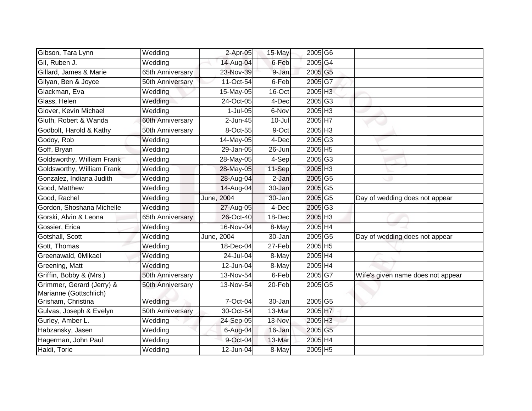| Gibson, Tara Lynn                                   | Wedding          | 2-Apr-05                | 15-May     | 2005 G6                                 |                                   |
|-----------------------------------------------------|------------------|-------------------------|------------|-----------------------------------------|-----------------------------------|
| Gil, Ruben J.                                       | Wedding          | 14-Aug-04               | 6-Feb      | 2005 G4                                 |                                   |
| Gillard, James & Marie                              | 65th Anniversary | 23-Nov-39               | 9-Jan      | 2005 G5                                 |                                   |
| Gilyan, Ben & Joyce                                 | 50th Anniversary | 11-Oct-54               | 6-Feb      | 2005 G7                                 |                                   |
| Glackman, Eva                                       | Wedding          | 15-May-05               | 16-Oct     | $2005$ H <sub>3</sub>                   |                                   |
| Glass, Helen                                        | Wedding          | 24-Oct-05               | 4-Dec      | $2005\sqrt{G3}$                         |                                   |
| Glover, Kevin Michael                               | Wedding          | $1-Jul-05$              | 6-Nov      | 2005 H3                                 |                                   |
| Gluth, Robert & Wanda                               | 60th Anniversary | 2-Jun-45                | $10 -$ Jul | 2005 H7                                 |                                   |
| Godbolt, Harold & Kathy                             | 50th Anniversary | 8-Oct-55                | 9-Oct      | 2005 H3                                 |                                   |
| Godoy, Rob                                          | Wedding          | $\overline{1}$ 4-May-05 | 4-Dec      | $2005$ G3                               |                                   |
| Goff, Bryan                                         | Wedding          | 29-Jan-05               | 26-Jun     | $2005$ H <sub>5</sub>                   |                                   |
| Goldsworthy, William Frank                          | Wedding          | 28-May-05               | 4-Sep      | 2005 G3                                 |                                   |
| Goldsworthy, William Frank                          | Wedding          | 28-May-05               | 11-Sep     | 2005 H3                                 |                                   |
| Gonzalez, Indiana Judith                            | Wedding          | 28-Aug-04               | 2-Jan      | 2005 G5                                 |                                   |
| Good, Matthew                                       | Wedding          | 14-Aug-04               | 30-Jan     | 2005 G5                                 |                                   |
| Good, Rachel                                        | Wedding          | June, 2004              | 30-Jan     | 2005 G5                                 | Day of wedding does not appear    |
| Gordon, Shoshana Michelle                           | Wedding          | 27-Aug-05               | 4-Dec      | $2005$ G3                               |                                   |
| Gorski, Alvin & Leona                               | 65th Anniversary | 26-Oct-40               | 18-Dec     | 2005 H3                                 |                                   |
| Gossier, Erica                                      | Wedding          | 16-Nov-04               | 8-May      | 2005 H4                                 |                                   |
| Gotshall, Scott                                     | Wedding          | June, 2004              | 30-Jan     | 2005 G5                                 | Day of wedding does not appear    |
| Gott, Thomas                                        | Wedding          | 18-Dec-04               | 27-Feb     | 2005 H5                                 |                                   |
| Greenawald, OMikael                                 | Wedding          | $24$ -Jul-04            | 8-May      | 2005 H4                                 |                                   |
| Greening, Matt                                      | Wedding          | 12-Jun-04               | 8-May      | $2005\overline{\overline{\mathsf{H4}}}$ |                                   |
| Griffin, Bobby & (Mrs.)                             | 50th Anniversary | 13-Nov-54               | 6-Feb      | 2005 G7                                 | Wife's given name does not appear |
| Grimmer, Gerard (Jerry) &<br>Marianne (Gottschlich) | 50th Anniversary | 13-Nov-54               | 20-Feb     | 2005 G5                                 |                                   |
| Grisham, Christina                                  | Wedding          | 7-Oct-04                | 30-Jan     | 2005 G5                                 |                                   |
| Gulvas, Joseph & Evelyn                             | 50th Anniversary | 30-Oct-54               | 13-Mar     | $2005$ H7                               |                                   |
| Gurley, Amber L.                                    | Wedding          | 24-Sep-05               | 13-Nov     | 2005 H3                                 |                                   |
| Habzansky, Jasen                                    | Wedding          | 6-Aug-04                | 16-Jan     | 2005 G5                                 |                                   |
| Hagerman, John Paul                                 | Wedding          | 9-Oct-04                | 13-Mar     | 2005 H4                                 |                                   |
| Haldi, Torie                                        | Wedding          | 12-Jun-04               | 8-May      | 2005 H5                                 |                                   |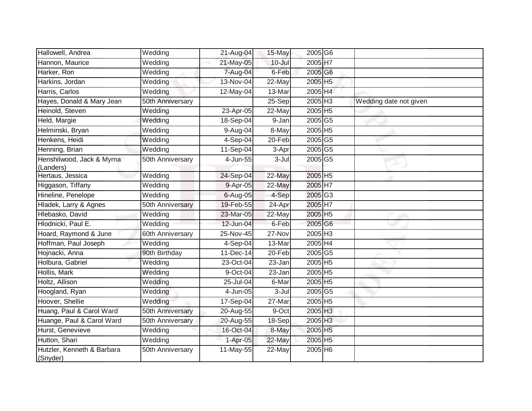| Hallowell, Andrea                      | Wedding               | 21-Aug-04               | $15$ -May  | 2005 G6                    |                        |
|----------------------------------------|-----------------------|-------------------------|------------|----------------------------|------------------------|
| Hannon, Maurice                        | Wedding               | 21-May-05               | $10 -$ Jul | 2005 H7                    |                        |
| Harker, Ron                            | Wedding               | 7-Aug-04                | 6-Feb      | 2005 G6                    |                        |
| Harkins, Jordan                        | Wedding               | 13-Nov-04               | 22-May     | 2005 H5                    |                        |
| Harris, Carlos                         | Wedding               | $12-May-04$             | 13-Mar     | 2005 H4                    |                        |
| Hayes, Donald & Mary Jean              | 50th Anniversary      |                         | 25-Sep     | 2005 H3                    | Wedding date not given |
| Heinold, Steven                        | Wedding               | 23-Apr-05               | 22-May     | $2005$ H <sub>5</sub>      |                        |
| Held, Margie                           | Wedding               | 18-Sep-04               | 9-Jan      | 2005 G5                    |                        |
| Helminski, Bryan                       | Wedding               | 9-Aug-04                | 8-May      | 2005 H5                    |                        |
| Henkens, Heidi                         | Wedding               | 4-Sep-04                | 20-Feb     | 2005 G5                    |                        |
| Henning, Brian                         | Wedding               | 11-Sep-04               | 3-Apr      | 2005 G5                    |                        |
| Henshilwood, Jack & Myrna<br>(Landers) | 50th Anniversary      | 4-Jun-55                | 3-Jul      | 2005 G5                    |                        |
| Hertaus, Jessica                       | Wedding               | 24-Sep-04               | $22$ -May  | 2005 H5                    |                        |
| Higgason, Tiffany                      | Wedding               | 9-Apr-05                | 22-May     | 2005 H7                    |                        |
| Hineline, Penelope                     | $\overline{W}$ edding | 6-Aug-05                | 4-Sep      | $2005\overline{\text{G3}}$ |                        |
| Hladek, Larry & Agnes                  | 50th Anniversary      | 19-Feb-55               | 24-Apr     | 2005 H7                    |                        |
| Hlebasko, David                        | Wedding               | 23-Mar-05               | 22-May     | 2005 H5                    |                        |
| Hlodnicki, Paul E.                     | Wedding               | 12-Jun-04               | 6-Feb      | 2005 G6                    |                        |
| Hoard, Raymond & June                  | 60th Anniversary      | 25-Nov-45               | 27-Nov     | 2005 H3                    |                        |
| Hoffman, Paul Joseph                   | Wedding               | $4-$ Sep-04             | 13-Mar     | 2005 H4                    |                        |
| Hojnacki, Anna                         | 90th Birthday         | $\overline{11}$ -Dec-14 | 20-Feb     | 2005 G5                    |                        |
| Holbura, Gabriel                       | Wedding               | 23-Oct-04               | 23-Jan     | $2005$ H <sub>5</sub>      |                        |
| Hollis, Mark                           | Wedding               | 9-Oct-04                | 23-Jan     | 2005 H5                    |                        |
| Holtz, Allison                         | Wedding               | 25-Jul-04               | 6-Mar      | 2005 H5                    |                        |
| Hoogland, Ryan                         | Wedding               | 4-Jun-05                | $3 -$ Jul  | 2005 G5                    |                        |
| Hoover, Shellie                        | Wedding               | 17-Sep-04               | 27-Mar     | 2005 H5                    |                        |
| Huang, Paul & Carol Ward               | 50th Anniversary      | 20-Aug-55               | 9-Oct      | 2005 H3                    |                        |
| Huange, Paul & Carol Ward              | 50th Anniversary      | 20-Aug-55               | 18-Sep     | 2005 H <sub>3</sub>        |                        |
| Hurst, Genevieve                       | Wedding               | 16-Oct-04               | 8-May      | 2005 H5                    |                        |
| Hutton, Shari                          | Wedding               | 1-Apr-05                | 22-May     | 2005 H5                    |                        |
| Hutzler, Kenneth & Barbara<br>(Snyder) | 50th Anniversary      | 11-May-55               | 22-May     | 2005 H6                    |                        |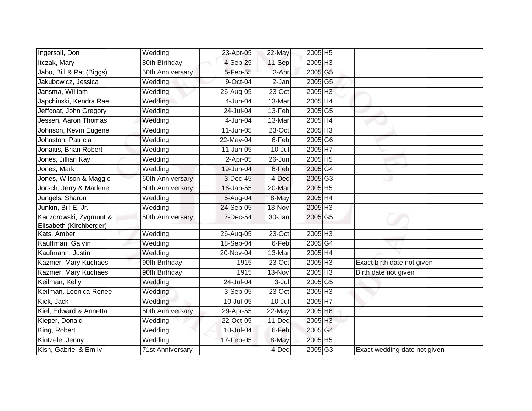| Ingersoll, Don                                    | Wedding                 | 23-Apr-05    | 22-May     | 2005 H5               |                              |
|---------------------------------------------------|-------------------------|--------------|------------|-----------------------|------------------------------|
| Itczak, Mary                                      | 80th Birthday           | $4-Sep-25$   | 11-Sep     | 2005 H3               |                              |
| Jabo, Bill & Pat (Biggs)                          | 50th Anniversary        | 5-Feb-55     | 3-Apr      | 2005 G5               |                              |
| Jakubowicz, Jessica                               | Wedding                 | 9-Oct-04     | 2-Jan      | 2005 G5               |                              |
| Jansma, William                                   | Wedding                 | 26-Aug-05    | $23-Oct$   | 2005 H3               |                              |
| Japchinski, Kendra Rae                            | Wedding                 | 4-Jun-04     | 13-Mar     | $2005$ H4             |                              |
| Jeffcoat, John Gregory                            | Wedding                 | 24-Jul-04    | 13-Feb     | 2005 G5               |                              |
| Jessen, Aaron Thomas                              | Wedding                 | 4-Jun-04     | 13-Mar     | 2005 H4               |                              |
| Johnson, Kevin Eugene                             | Wedding                 | 11-Jun-05    | 23-Oct     | 2005 H3               |                              |
| Johnston, Patricia                                | Wedding                 | $22$ -May-04 | 6-Feb      | 2005 G6               |                              |
| Jonaitis, Brian Robert                            | Wedding                 | 11-Jun-05    | $10 -$ Jul | 2005 H7               |                              |
| Jones, Jillian Kay                                | Wedding                 | 2-Apr-05     | 26-Jun     | 2005 H5               |                              |
| Jones, Mark                                       | Wedding                 | 19-Jun-04    | 6-Feb      | 2005 G4               |                              |
| Jones, Wilson & Maggie                            | 60th Anniversary        | 3-Dec-45     | 4-Dec      | 2005 G3               |                              |
| Jorsch, Jerry & Marlene                           | 50th Anniversary        | 16-Jan-55    | 20-Mar     | 2005 H5               |                              |
| Jungels, Sharon                                   | Wedding                 | 5-Aug-04     | 8-May      | 2005 H4               |                              |
| Junkin, Bill E. Jr.                               | Wedding                 | 24-Sep-05    | 13-Nov     | $2005$ H <sub>3</sub> |                              |
| Kaczorowski, Zygmunt &<br>Elisabeth (Kirchberger) | 50th Anniversary        | 7-Dec-54     | 30-Jan     | 2005 G5               |                              |
| Kats, Amber                                       | Wedding                 | 26-Aug-05    | 23-Oct     | 2005 H3               |                              |
| Kauffman, Galvin                                  | Wedding                 | 18-Sep-04    | 6-Feb      | 2005 G4               |                              |
| Kaufmann, Justin                                  | Wedding                 | 20-Nov-04    | 13-Mar     | 2005 H4               |                              |
| Kazmer, Mary Kuchaes                              | 90th Birthday           | 1915         | 23-Oct     | 2005 H3               | Exact birth date not given   |
| Kazmer, Mary Kuchaes                              | 90th Birthday           | 1915         | 13-Nov     | 2005 H3               | Birth date not given         |
| Keilman, Kelly                                    | Wedding                 | 24-Jul-04    | 3-Jul      | $2005\sqrt{G5}$       |                              |
| Keilman, Leonica-Renee                            | Wedding                 | 3-Sep-05     | 23-Oct     | 2005 H3               |                              |
| Kick, Jack                                        | Wedding                 | 10-Jul-05    | $10 -$ Jul | 2005 H7               |                              |
| Kiel, Edward & Annetta                            | 50th Anniversary        | 29-Apr-55    | 22-May     | 2005 H6               |                              |
| Kieper, Donald                                    | Wedding                 | 22-Oct-05    | 11-Dec     | 2005 H <sub>3</sub>   |                              |
| King, Robert                                      | Wedding                 | 10-Jul-04    | 6-Feb      | 2005 G4               |                              |
| Kintzele, Jenny                                   | Wedding                 | 17-Feb-05    | 8-May      | 2005 H5               |                              |
| Kish, Gabriel & Emily                             | <b>71st Anniversary</b> |              | 4-Dec      | 2005 G3               | Exact wedding date not given |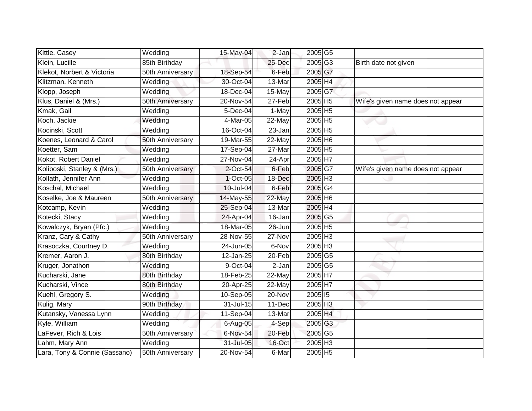| Kittle, Casey                 | Wedding          | 15-May-04    | 2-Jan                | 2005 G5                    |                                   |
|-------------------------------|------------------|--------------|----------------------|----------------------------|-----------------------------------|
| Klein, Lucille                | 85th Birthday    |              | 25-Dec               | 2005 G3                    | Birth date not given              |
| Klekot, Norbert & Victoria    | 50th Anniversary | 18-Sep-54    | 6-Feb                | 2005 G7                    |                                   |
| Klitzman, Kenneth             | Wedding          | 30-Oct-04    | 13-Mar               | 2005 H4                    |                                   |
| Klopp, Joseph                 | Wedding          | 18-Dec-04    | 15-May               | $2005$ G7                  |                                   |
| Klus, Daniel & (Mrs.)         | 50th Anniversary | 20-Nov-54    | 27-Feb               | 2005 H5                    | Wife's given name does not appear |
| Kmak, Gail                    | Wedding          | 5-Dec-04     | 1-May                | 2005 H5                    |                                   |
| Koch, Jackie                  | Wedding          | 4-Mar-05     | 22-May               | 2005 H5                    |                                   |
| Kocinski, Scott               | Wedding          | 16-Oct-04    | 23-Jan               | 2005 H5                    |                                   |
| Koenes, Leonard & Carol       | 50th Anniversary | 19-Mar-55    | 22-May               | 2005 H6                    |                                   |
| Koetter, Sam                  | Wedding          | $17-$ Sep-04 | 27-Mar               | 2005 H5                    |                                   |
| Kokot, Robert Daniel          | Wedding          | 27-Nov-04    | 24-Apr               | 2005 H7                    |                                   |
| Koliboski, Stanley & (Mrs.)   | 50th Anniversary | $2$ -Oct-54  | 6-Feb                | 2005 G7                    | Wife's given name does not appear |
| Kollath, Jennifer Ann         | Wedding          | $1$ -Oct-05  | 18-Dec               | 2005 H <sub>3</sub>        |                                   |
| Koschal, Michael              | Wedding          | 10-Jul-04    | 6-Feb                | 2005G4                     |                                   |
| Koselke, Joe & Maureen        | 50th Anniversary | 14-May-55    | 22-May               | 2005 H6                    |                                   |
| Kotcamp, Kevin                | Wedding          | 25-Sep-04    | 13-Mar               | 2005 H4                    |                                   |
| Kotecki, Stacy                | Wedding          | 24-Apr-04    | 16-Jan               | 2005 G5                    |                                   |
| Kowalczyk, Bryan (Pfc.)       | Wedding          | 18-Mar-05    | 26-Jun               | 2005 H5                    |                                   |
| Kranz, Cary & Cathy           | 50th Anniversary | 28-Nov-55    | 27-Nov               | 2005 H3                    |                                   |
| Krasoczka, Courtney D.        | Wedding          | 24-Jun-05    | 6-Nov                | $2005$ H <sub>3</sub>      |                                   |
| Kremer, Aaron J.              | 80th Birthday    | 12-Jan-25    | 20-Feb               | 2005 G5                    |                                   |
| Kruger, Jonathon              | Wedding          | 9-Oct-04     | 2-Jan                | 2005 G5                    |                                   |
| Kucharski, Jane               | 80th Birthday    | 18-Feb-25    | $\overline{2}$ 2-May | 2005 H7                    |                                   |
| Kucharski, Vince              | 80th Birthday    | 20-Apr-25    | 22-May               | 2005 H7                    |                                   |
| Kuehl, Gregory S.             | Wedding          | 10-Sep-05    | 20-Nov               | 2005 15                    |                                   |
| Kulig, Mary                   | 90th Birthday    | 31-Jul-15    | $11 - Dec$           | 2005 H3                    |                                   |
| Kutansky, Vanessa Lynn        | Wedding          | 11-Sep-04    | 13-Mar               | 2005 H4                    |                                   |
| Kyle, William                 | Wedding          | 6-Aug-05     | 4-Sep                | 2005 G3                    |                                   |
| aFever, Rich & Lois           | 50th Anniversary | 6-Nov-54     | 20-Feb               | $2005\overline{\text{G5}}$ |                                   |
| Lahm, Mary Ann                | Wedding          | 31-Jul-05    | 16-Oct               | 2005 H3                    |                                   |
| Lara, Tony & Connie (Sassano) | 50th Anniversary | 20-Nov-54    | 6-Mar                | 2005 H5                    |                                   |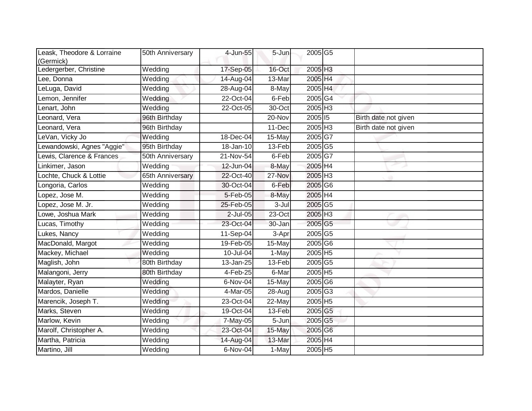| Leask, Theodore & Lorraine<br>(Germick) | 50th Anniversary | 4-Jun-55      | $5 - Jun$ | 2005 G5                                 |                      |
|-----------------------------------------|------------------|---------------|-----------|-----------------------------------------|----------------------|
| edergerber, Christine                   | Wedding          | 17-Sep-05     | 16-Oct    | 2005 H3                                 |                      |
| Lee, Donna                              | Wedding          | 14-Aug-04     | 13-Mar    | 2005 H4                                 |                      |
| LeLuga, David                           | Wedding          | 28-Aug-04     | 8-May     | 2005 H4                                 |                      |
| Lemon, Jennifer                         | Wedding          | 22-Oct-04     | 6-Feb     | 2005 G4                                 |                      |
| Lenart, John                            | Wedding          | 22-Oct-05     | 30-Oct    | 2005 H3                                 |                      |
| Leonard, Vera                           | 96th Birthday    |               | 20-Nov    | $2005\sqrt{15}$                         | Birth date not given |
| Leonard, Vera                           | 96th Birthday    |               | 11-Dec    | 2005 H3                                 | Birth date not given |
| LeVan, Vicky Jo                         | Wedding          | 18-Dec-04     | 15-May    | 2005 G7                                 |                      |
| _ewandowski, Agnes "Aggie"              | 95th Birthday    | $18 - Jan-10$ | 13-Feb    | 2005G5                                  |                      |
| ewis, Clarence & Frances                | 50th Anniversary | 21-Nov-54     | 6-Feb     | 2005G7                                  |                      |
| Linkimer, Jason                         | Wedding          | 12-Jun-04     | 8-May     | 2005 H4                                 |                      |
| Lochte, Chuck & Lottie                  | 65th Anniversary | 22-Oct-40     | 27-Nov    | 2005 H3                                 |                      |
| Longoria, Carlos                        | Wedding          | 30-Oct-04     | 6-Feb     | 2005 G6                                 |                      |
| Lopez, Jose M.                          | Wedding          | 5-Feb-05      | 8-May     | 2005 H4                                 |                      |
| Lopez, Jose M. Jr.                      | Wedding          | 25-Feb-05     | 3-Jul     | 2005 G5                                 |                      |
| Lowe, Joshua Mark                       | Wedding          | 2-Jul-05      | 23-Oct    | 2005 H3                                 |                      |
| Lucas, Timothy                          | Wedding          | 23-Oct-04     | 30-Jan    | 2005 G5                                 |                      |
| Lukes, Nancy                            | Wedding          | 11-Sep-04     | 3-Apr     | 2005 G5                                 |                      |
| MacDonald, Margot                       | Wedding          | 19-Feb-05     | 15-May    | 2005 G6                                 |                      |
| Mackey, Michael                         | Wedding          | 10-Jul-04     | 1-May     | 2005 H5                                 |                      |
| Maglish, John                           | 80th Birthday    | 13-Jan-25     | 13-Feb    | 2005 G5                                 |                      |
| Malangoni, Jerry                        | 80th Birthday    | 4-Feb-25      | 6-Mar     | 2005 H5                                 |                      |
| Malayter, Ryan                          | Wedding          | 6-Nov-04      | 15-May    | $2005\overline{\smash{\vert G6 \vert}}$ |                      |
| Mardos, Danielle                        | Wedding          | 4-Mar-05      | 28-Aug    | 2005 G3                                 |                      |
| Marencik, Joseph T.                     | Wedding          | 23-Oct-04     | 22-May    | 2005 H5                                 |                      |
| Marks, Steven                           | Wedding          | 19-Oct-04     | 13-Feb    | 2005 G5                                 |                      |
| Marlow, Kevin                           | Wedding          | 7-May-05      | 5-Jun     | 2005 G5                                 |                      |
| Marolf, Christopher A.                  | Wedding          | 23-Oct-04     | 15-May    | 2005 G6                                 |                      |
| Martha, Patricia                        | Wedding          | 14-Aug-04     | 13-Mar    | 2005 H4                                 |                      |
| Martino, Jill                           | Wedding          | 6-Nov-04      | 1-May     | 2005 H5                                 |                      |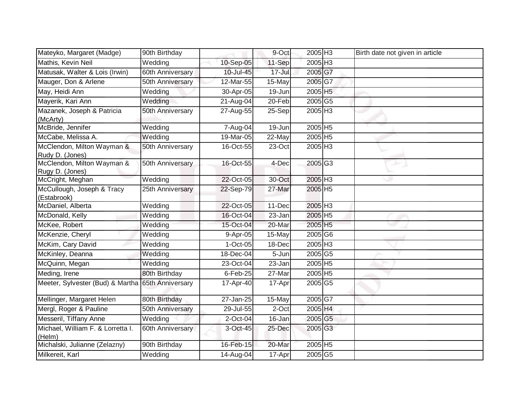| Mateyko, Margaret (Madge)                         | 90th Birthday         |             | 9-Oct      | 2005 H3             | Birth date not given in article |
|---------------------------------------------------|-----------------------|-------------|------------|---------------------|---------------------------------|
| Mathis, Kevin Neil                                | Wedding               | 10-Sep-05   | 11-Sep     | 2005 H3             |                                 |
| Matusak, Walter & Lois (Irwin)                    | 60th Anniversary      | 10-Jul-45   | $17 -$ Jul | 2005 G7             |                                 |
| Mauger, Don & Arlene                              | 50th Anniversary      | 12-Mar-55   | 15-May     | 2005 G7             |                                 |
| May, Heidi Ann                                    | Wedding               | 30-Apr-05   | 19-Jun     | 2005 H5             |                                 |
| Mayerik, Kari Ann                                 | Wedding               | $21-Aug-04$ | 20-Feb     | 2005 G5             |                                 |
| Mazanek, Joseph & Patricia<br>(McArty)            | 50th Anniversary      | 27-Aug-55   | 25-Sep     | 2005 H3             |                                 |
| McBride, Jennifer                                 | Wedding               | 7-Aug-04    | 19-Jun     | 2005 H5             |                                 |
| McCabe, Melissa A.                                | Wedding               | 19-Mar-05   | 22-May     | 2005 H5             |                                 |
| McClendon, Milton Wayman &<br>Rudy D. (Jones)     | 50th Anniversary      | 16-Oct-55   | 23-Oct     | 2005 H <sub>3</sub> |                                 |
| McClendon, Milton Wayman &<br>Rugy D. (Jones)     | 50th Anniversary      | 16-Oct-55   | 4-Dec      | 2005 G3             |                                 |
| McCright, Meghan                                  | Wedding               | 22-Oct-05   | 30-Oct     | 2005 H3             |                                 |
| McCullough, Joseph & Tracy<br>(Estabrook)         | 25th Anniversary      | 22-Sep-79   | 27-Mar     | 2005 H5             |                                 |
| McDaniel, Alberta                                 | Wedding               | 22-Oct-05   | 11-Dec     | 2005 H3             |                                 |
| McDonald, Kelly                                   | Wedding               | 16-Oct-04   | 23-Jan     | 2005 H5             |                                 |
| McKee, Robert                                     | $\overline{W}$ edding | 15-Oct-04   | 20-Mar     | 2005 H5             |                                 |
| McKenzie, Cheryl                                  | Wedding               | 9-Apr-05    | 15-May     | 2005 G6             |                                 |
| McKim, Cary David                                 | Wedding               | $1-Oct-05$  | 18-Dec     | 2005 H3             |                                 |
| McKinley, Deanna                                  | Wedding               | 18-Dec-04   | 5-Jun      | $2005$ G5           |                                 |
| McQuinn, Megan                                    | Wedding               | 23-Oct-04   | 23-Jan     | 2005 H5             |                                 |
| Meding, Irene                                     | 80th Birthday         | $6$ -Feb-25 | 27-Mar     | 2005 H5             |                                 |
| Meeter, Sylvester (Bud) & Martha 65th Anniversary |                       | 17-Apr-40   | 17-Apr     | 2005 G5             |                                 |
| Mellinger, Margaret Helen                         | 80th Birthday         | 27-Jan-25   | 15-May     | 2005 G7             |                                 |
| Mergl, Roger & Pauline                            | 50th Anniversary      | 29-Jul-55   | 2-Oct      | 2005 H4             |                                 |
| Messeril, Tiffany Anne                            | Wedding               | $2$ -Oct-04 | 16-Jan     | 2005 G5             |                                 |
| Michael, William F. & Lorretta I.<br>(Helm)       | 60th Anniversary      | 3-Oct-45    | 25-Dec     | 2005 G3             |                                 |
| Michalski, Julianne (Zelazny)                     | 90th Birthday         | 16-Feb-15   | 20-Mar     | 2005 H5             |                                 |
| Milkereit, Karl                                   | Wedding               | 14-Aug-04   | 17-Apr     | $2005\sqrt{G5}$     |                                 |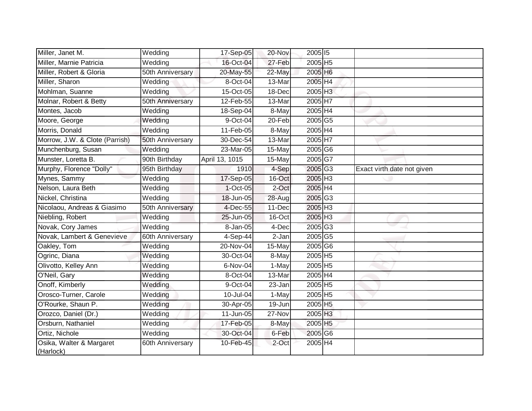| Miller, Janet M.                      | Wedding          | 17-Sep-05      | 20-Nov   | 2005 15               |                            |
|---------------------------------------|------------------|----------------|----------|-----------------------|----------------------------|
| Miller, Marnie Patricia               | Wedding          | 16-Oct-04      | 27-Feb   | 2005 H5               |                            |
| Miller, Robert & Gloria               | 50th Anniversary | 20-May-55      | 22-May   | 2005 H6               |                            |
| Miller, Sharon                        | Wedding          | 8-Oct-04       | 13-Mar   | 2005 H4               |                            |
| Mohlman, Suanne                       | Wedding          | 15-Oct-05      | 18-Dec   | 2005 H3               |                            |
| Molnar, Robert & Betty                | 50th Anniversary | $12$ -Feb-55   | 13-Mar   | 2005 H7               |                            |
| Montes, Jacob                         | Wedding          | 18-Sep-04      | 8-May    | 2005 H4               |                            |
| Moore, George                         | Wedding          | 9-Oct-04       | 20-Feb   | 2005 G5               |                            |
| Morris, Donald                        | Wedding          | 11-Feb-05      | 8-May    | $2005 H_4$            |                            |
| Morrow, J.W. & Clote (Parrish)        | 50th Anniversary | 30-Dec-54      | 13-Mar   | 2005 H7               |                            |
| Munchenburg, Susan                    | Wedding          | 23-Mar-05      | 15-May   | 2005 G6               |                            |
| Munster, Loretta B.                   | 90th Birthday    | April 13, 1015 | 15-May   | 2005G7                |                            |
| Murphy, Florence "Dolly"              | 95th Birthday    | 1910           | 4-Sep    | 2005 G3               | Exact virth date not given |
| Mynes, Sammy                          | Wedding          | 17-Sep-05      | 16-Oct   | 2005 H <sub>3</sub>   |                            |
| Nelson, Laura Beth                    | Wedding          | $1$ -Oct-05    | $2$ -Oct | 2005 H4               |                            |
| Nickel, Christina                     | Wedding          | 18-Jun-05      | 28-Aug   | 2005 G3               |                            |
| Nicolaou, Andreas & Giasimo           | 50th Anniversary | 4-Dec-55       | 11-Dec   | 2005 H <sub>3</sub>   |                            |
| Niebling, Robert                      | Wedding          | 25-Jun-05      | 16-Oct   | 2005 H3               |                            |
| Novak, Cory James                     | Wedding          | 8-Jan-05       | 4-Dec    | 2005 G3               |                            |
| Novak, Lambert & Genevieve            | 60th Anniversary | 4-Sep-44       | $2-Jan$  | $2005$ G5             |                            |
| Oakley, Tom                           | Wedding          | 20-Nov-04      | 15-May   | 2005 G6               |                            |
| Ogrinc, Diana                         | Wedding          | 30-Oct-04      | 8-May    | 2005 H5               |                            |
| Olivotto, Kelley Ann                  | Wedding          | 6-Nov-04       | 1-May    | $2005$ H <sub>5</sub> |                            |
| O'Neil, Gary                          | Wedding          | 8-Oct-04       | 13-Mar   | 2005 H4               |                            |
| Onoff, Kimberly                       | Wedding          | 9-Oct-04       | 23-Jan   | 2005 H5               |                            |
| Orosco-Turner, Carole                 | Wedding          | 10-Jul-04      | 1-May    | 2005 H5               |                            |
| O'Rourke, Shaun P.                    | Wedding          | 30-Apr-05      | 19-Jun   | 2005 H5               |                            |
| Orozco, Daniel (Dr.)                  | Wedding          | 11-Jun-05      | 27-Nov   | 2005 H3               |                            |
| Orsburn, Nathaniel                    | Wedding          | 17-Feb-05      | 8-May    | 2005 H5               |                            |
| Ortiz, Nichole                        | Wedding          | 30-Oct-04      | 6-Feb    | 2005 G6               |                            |
| Osika, Walter & Margaret<br>(Harlock) | 60th Anniversary | 10-Feb-45      | 2-Oct    | 2005 H4               |                            |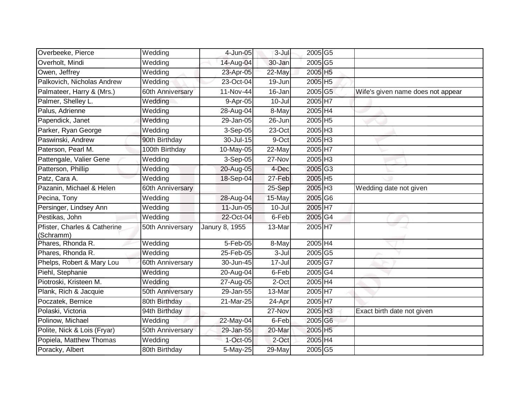| Overbeeke, Pierce                         | Wedding          | 4-Jun-05       | 3-Jul      | 2005 G5                    |                                   |
|-------------------------------------------|------------------|----------------|------------|----------------------------|-----------------------------------|
| Overholt, Mindi                           | Wedding          | 14-Aug-04      | 30-Jan     | 2005 G5                    |                                   |
| Owen, Jeffrey                             | Wedding          | 23-Apr-05      | 22-May     | 2005 H5                    |                                   |
| Palkovich, Nicholas Andrew                | Wedding          | 23-Oct-04      | 19-Jun     | 2005 H5                    |                                   |
| Palmateer, Harry & (Mrs.)                 | 60th Anniversary | $11-Nov-44$    | 16-Jan     | 2005 G5                    | Wife's given name does not appear |
| Palmer, Shelley L.                        | Wedding          | 9-Apr-05       | $10 -$ Jul | 2005 H7                    |                                   |
| Palus, Adrienne                           | Wedding          | 28-Aug-04      | 8-May      | 2005 H4                    |                                   |
| Papendick, Janet                          | Wedding          | 29-Jan-05      | 26-Jun     | 2005 H5                    |                                   |
| Parker, Ryan George                       | Wedding          | 3-Sep-05       | 23-Oct     | 2005 H3                    |                                   |
| Paswinski, Andrew                         | 90th Birthday    | 30-Jul-15      | 9-Oct      | 2005 H3                    |                                   |
| Paterson, Pearl M.                        | 100th Birthday   | 10-May-05      | 22-May     | 2005 H7                    |                                   |
| Pattengale, Valier Gene                   | Wedding          | 3-Sep-05       | 27-Nov     | 2005 H3                    |                                   |
| Patterson, Phillip                        | Wedding          | 20-Aug-05      | 4-Dec      | 2005 G3                    |                                   |
| Patz, Cara A.                             | Wedding          | 18-Sep-04      | 27-Feb     | 2005 H5                    |                                   |
| Pazanin, Michael & Helen                  | 60th Anniversary |                | 25-Sep     | 2005 H3                    | Wedding date not given            |
| Pecina, Tony                              | Wedding          | 28-Aug-04      | 15-May     | 2005 G6                    |                                   |
| Persinger, Lindsey Ann                    | Wedding          | 11-Jun-05      | $10 -$ Jul | 2005 H7                    |                                   |
| Pestikas, John                            | Wedding          | 22-Oct-04      | 6-Feb      | 2005 G4                    |                                   |
| Pfister, Charles & Catherine<br>(Schramm) | 50th Anniversary | Janury 8, 1955 | 13-Mar     | 2005 H7                    |                                   |
| Phares, Rhonda R.                         | Wedding          | 5-Feb-05       | $8 - May$  | 2005 H4                    |                                   |
| Phares, Rhonda R.                         | Wedding          | 25-Feb-05      | 3-Jul      | $2005\overline{\text{G5}}$ |                                   |
| Phelps, Robert & Mary Lou                 | 60th Anniversary | 30-Jun-45      | 17-Jul     | 2005G7                     |                                   |
| Piehl, Stephanie                          | Wedding          | 20-Aug-04      | 6-Feb      | 2005 G4                    |                                   |
| Piotroski, Kristeen M.                    | Wedding          | 27-Aug-05      | 2-Oct      | $2005$ H4                  |                                   |
| Plank, Rich & Jacquie                     | 50th Anniversary | 29-Jan-55      | 13-Mar     | 2005 H7                    |                                   |
| Poczatek, Bernice                         | 80th Birthday    | $21$ -Mar-25   | 24-Apr     | 2005 H7                    |                                   |
| Polaski, Victoria                         | 94th Birthday    |                | 27-Nov     | 2005 H3                    | Exact birth date not given        |
| Polinow, Michael                          | Wedding          | 22-May-04      | 6-Feb      | 2005 G6                    |                                   |
| Polite, Nick & Lois (Fryar)               | 50th Anniversary | 29-Jan-55      | 20-Mar     | 2005 H5                    |                                   |
| Popiela, Matthew Thomas                   | Wedding          | 1-Oct-05       | 2-Oct      | $2005 H_4$                 |                                   |
| Poracky, Albert                           | 80th Birthday    | 5-May-25       | 29-May     | 2005 G5                    |                                   |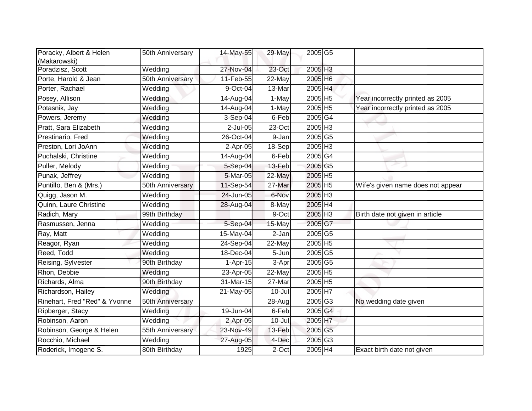| Poracky, Albert & Helen<br>(Makarowski) | 50th Anniversary | 14-May-55   | 29-May     | 2005 G5               |                                   |
|-----------------------------------------|------------------|-------------|------------|-----------------------|-----------------------------------|
| Poradzisz, Scott                        | Wedding          | 27-Nov-04   | 23-Oct     | 2005 H3               |                                   |
| Porte, Harold & Jean                    | 50th Anniversary | 11-Feb-55   | 22-May     | 2005 H6               |                                   |
| Porter, Rachael                         | Wedding          | 9-Oct-04    | 13-Mar     | 2005 H4               |                                   |
| Posey, Allison                          | Wedding          | 14-Aug-04   | 1-May      | 2005 H5               | Year incorrectly printed as 2005  |
| Potasnik, Jay                           | Wedding          | 14-Aug-04   | 1-May      | $2005$ H <sub>5</sub> | Year incorrectly printed as 2005  |
| Powers, Jeremy                          | Wedding          | 3-Sep-04    | 6-Feb      | 2005G4                |                                   |
| Pratt, Sara Elizabeth                   | Wedding          | 2-Jul-05    | 23-Oct     | 2005 H3               |                                   |
| Prestinario, Fred                       | Wedding          | 26-Oct-04   | 9-Jan      | 2005 G5               |                                   |
| Preston, Lori JoAnn                     | Wedding          | 2-Apr-05    | 18-Sep     | 2005 H3               |                                   |
| Puchalski, Christine                    | Wedding          | 14-Aug-04   | 6-Feb      | 2005G4                |                                   |
| Puller, Melody                          | Wedding          | $5-Sep-04$  | 13-Feb     | 2005 G5               |                                   |
| Punak, Jeffrey                          | Wedding          | 5-Mar-05    | 22-May     | 2005 H5               |                                   |
| Puntillo, Ben & (Mrs.)                  | 50th Anniversary | 11-Sep-54   | 27-Mar     | 2005 H5               | Wife's given name does not appear |
| Quigg, Jason M.                         | Wedding          | 24-Jun-05   | 6-Nov      | 2005 H <sub>3</sub>   |                                   |
| Quinn, Laure Christine                  | Wedding          | 28-Aug-04   | 8-May      | 2005 H4               |                                   |
| Radich, Mary                            | 99th Birthday    |             | 9-Oct      | 2005 H3               | Birth date not given in article   |
| Rasmussen, Jenna                        | Wedding          | 5-Sep-04    | 15-May     | 2005 G7               |                                   |
| Ray, Matt                               | Wedding          | 15-May-04   | 2-Jan      | 2005 G5               |                                   |
| Reagor, Ryan                            | Wedding          | $24-Sep-04$ | 22-May     | $2005$ H <sub>5</sub> |                                   |
| Reed, Todd                              | Wedding          | 18-Dec-04   | $5 - Jun$  | 2005 G5               |                                   |
| Reising, Sylvester                      | 90th Birthday    | $1-Apr-15$  | 3-Apr      | 2005 G5               |                                   |
| Rhon, Debbie                            | Wedding          | 23-Apr-05   | 22-May     | $2005$ H <sub>5</sub> |                                   |
| Richards, Alma                          | 90th Birthday    | 31-Mar-15   | 27-Mar     | $2005$ H <sub>5</sub> |                                   |
| Richardson, Hailey                      | Wedding          | 21-May-05   | $10 -$ Jul | 2005 H7               |                                   |
| Rinehart, Fred "Red" & Yvonne           | 50th Anniversary |             | 28-Aug     | $2005$ G3             | No wedding date given             |
| Ripberger, Stacy                        | Wedding          | 19-Jun-04   | 6-Feb      | 2005 G4               |                                   |
| Robinson, Aaron                         | Wedding          | 2-Apr-05    | $10 -$ Jul | 2005 H7               |                                   |
| Robinson, George & Helen                | 55th Anniversary | 23-Nov-49   | 13-Feb     | 2005 G5               |                                   |
| Rocchio, Michael                        | Wedding          | 27-Aug-05   | 4-Dec      | 2005 G3               |                                   |
| Roderick, Imogene S.                    | 80th Birthday    | 1925        | 2-Oct      | 2005 H4               | Exact birth date not given        |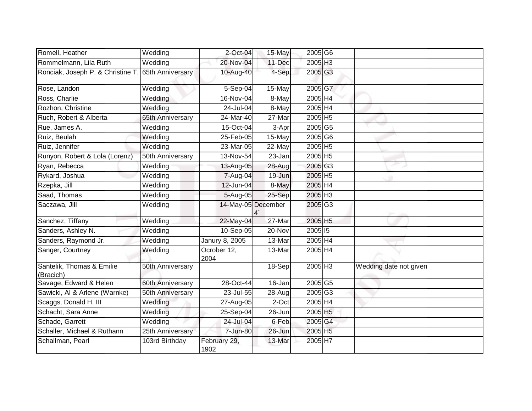| Romell, Heather                                    | Wedding          | $2$ -Oct-04          | 15-May             | 2005 G6               |                        |
|----------------------------------------------------|------------------|----------------------|--------------------|-----------------------|------------------------|
| Rommelmann, Lila Ruth                              | Wedding          | 20-Nov-04            | 11-Dec             | 2005 H <sub>3</sub>   |                        |
| Ronciak, Joseph P. & Christine T. 65th Anniversary |                  | 10-Aug-40            | 4-Sep              | 2005 G3               |                        |
| Rose, Landon                                       | Wedding          | $5-$ Sep-04          | 15-May             | 2005G7                |                        |
| Ross, Charlie                                      | Wedding          | 16-Nov-04            | 8-May              | 2005 H4               |                        |
| Rozhon, Christine                                  | Wedding          | 24-Jul-04            | 8-May              | 2005 H4               |                        |
| Ruch, Robert & Alberta                             | 65th Anniversary | 24-Mar-40            | 27-Mar             | 2005 H5               |                        |
| Rue, James A.                                      | Wedding          | 15-Oct-04            | 3-Apr              | 2005 G5               |                        |
| Ruiz, Beulah                                       | Wedding          | 25-Feb-05            | 15-May             | 2005 G6               |                        |
| Ruiz, Jennifer                                     | Wedding          | 23-Mar-05            | 22-May             | 2005 H5               |                        |
| Runyon, Robert & Lola (Lorenz)                     | 50th Anniversary | 13-Nov-54            | 23-Jan             | 2005 H5               |                        |
| Ryan, Rebecca                                      | Wedding          | 13-Aug-05            | 28-Aug             | 2005G3                |                        |
| Rykard, Joshua                                     | Wedding          | 7-Aug-04             | 19-Jun             | 2005 H5               |                        |
| Rzepka, Jill                                       | Wedding          | 12-Jun-04            | 8-May              | 2005 H4               |                        |
| Saad, Thomas                                       | Wedding          | 5-Aug-05             | 25-Sep             | 2005 H3               |                        |
| Saczawa, Jill                                      | Wedding          |                      | 14-May-05 December | 2005 G3               |                        |
| Sanchez, Tiffany                                   | Wedding          | 22-May-04            | 27-Mar             | 2005 H5               |                        |
| Sanders, Ashley N.                                 | Wedding          | 10-Sep-05            | 20-Nov             | 2005 15               |                        |
| Sanders, Raymond Jr.                               | Wedding          | Janury 8, 2005       | 13-Mar             | 2005 H4               |                        |
| Sanger, Courtney                                   | Wedding          | Ocrober 12,<br>2004  | 13-Mar             | 2005 H4               |                        |
| Santelik, Thomas & Emilie<br>(Bracich)             | 50th Anniversary |                      | $18-Sep$           | $2005$ H <sub>3</sub> | Wedding date not given |
| Savage, Edward & Helen                             | 60th Anniversary | 28-Oct-44            | 16-Jan             | 2005 G5               |                        |
| Sawicki, Al & Arlene (Warnke)                      | 50th Anniversary | 23-Jul-55            | $28 - Aug$         | $2005$ G3             |                        |
| Scaggs, Donald H. III                              | Wedding          | 27-Aug-05            | 2-Oct              | 2005 H4               |                        |
| Schacht, Sara Anne                                 | Wedding          | 25-Sep-04            | 26-Jun             | 2005 H5               |                        |
| Schade, Garrett                                    | Wedding          | 24-Jul-04            | 6-Feb              | 2005G4                |                        |
| Schaller, Michael & Ruthann                        | 25th Anniversary | 7-Jun-80             | 26-Jun             | 2005 H5               |                        |
| Schallman, Pearl                                   | 103rd Birthday   | February 29,<br>1902 | 13-Mar             | 2005 H7               |                        |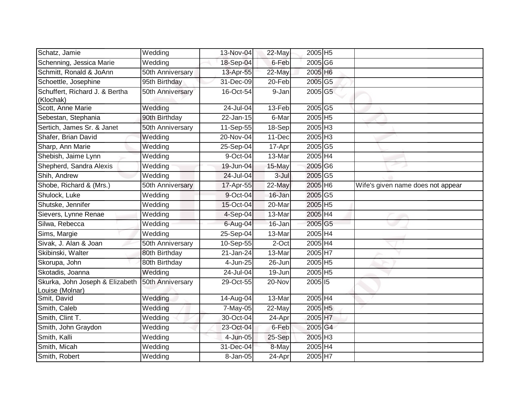| Schatz, Jamie                                      | Wedding               | 13-Nov-04    | 22-May | 2005 H5               |                                   |
|----------------------------------------------------|-----------------------|--------------|--------|-----------------------|-----------------------------------|
| Schenning, Jessica Marie                           | Wedding               | 18-Sep-04    | 6-Feb  | 2005 G6               |                                   |
| Schmitt, Ronald & JoAnn                            | 50th Anniversary      | 13-Apr-55    | 22-May | 2005 H6               |                                   |
| Schoettle, Josephine                               | 95th Birthday         | 31-Dec-09    | 20-Feb | 2005 G5               |                                   |
| Schuffert, Richard J. & Bertha<br>(Klochak)        | 50th Anniversary      | 16-Oct-54    | 9-Jan  | 2005 G5               |                                   |
| Scott, Anne Marie                                  | $\overline{W}$ edding | 24-Jul-04    | 13-Feb | 2005 G5               |                                   |
| Sebestan, Stephania                                | 90th Birthday         | 22-Jan-15    | 6-Mar  | $2005$ H <sub>5</sub> |                                   |
| Sertich, James Sr. & Janet                         | 50th Anniversary      | 11-Sep-55    | 18-Sep | 2005 H3               |                                   |
| Shafer, Brian David                                | Wedding               | 20-Nov-04    | 11-Dec | 2005 H3               |                                   |
| Sharp, Ann Marie                                   | Wedding               | 25-Sep-04    | 17-Apr | 2005 G5               |                                   |
| Shebish, Jaime Lynn                                | Wedding               | 9-Oct-04     | 13-Mar | 2005 H4               |                                   |
| Shepherd, Sandra Alexis                            | Wedding               | 19-Jun-04    | 15-May | 2005 G6               |                                   |
| Shih, Andrew                                       | Wedding               | 24-Jul-04    | 3-Jul  | 2005 G5               |                                   |
| Shobe, Richard & (Mrs.)                            | 50th Anniversary      | 17-Apr-55    | 22-May | 2005 H6               | Wife's given name does not appear |
| Shulock, Luke                                      | Wedding               | 9-Oct-04     | 16-Jan | 2005 G5               |                                   |
| Shutske, Jennifer                                  | Wedding               | 15-Oct-04    | 20-Mar | 2005 H5               |                                   |
| Sievers, Lynne Renae                               | Wedding               | $4-Sep-04$   | 13-Mar | 2005 H4               |                                   |
| Silwa, Rebecca                                     | Wedding               | 6-Aug-04     | 16-Jan | 2005 G5               |                                   |
| Sims, Margie                                       | Wedding               | 25-Sep-04    | 13-Mar | 2005 H4               |                                   |
| Sivak, J. Alan & Joan                              | 50th Anniversary      | $10-$ Sep-55 | 2-Oct  | 2005 H4               |                                   |
| Skibinski, Walter                                  | 80th Birthday         | 21-Jan-24    | 13-Mar | $2005$ H7             |                                   |
| Skorupa, John                                      | 80th Birthday         | 4-Jun-25     | 26-Jun | 2005 H5               |                                   |
| Skotadis, Joanna                                   | Wedding               | 24-Jul-04    | 19-Jun | 2005 H5               |                                   |
| Skurka, John Joseph & Elizabeth<br>Louise (Molnar) | 50th Anniversary      | 29-Oct-55    | 20-Nov | 2005 15               |                                   |
| Smit, David                                        | Wedding               | 14-Aug-04    | 13-Mar | 2005 H4               |                                   |
| Smith, Caleb                                       | Wedding               | 7-May-05     | 22-May | 2005 H5               |                                   |
| Smith, Clint T.                                    | Wedding               | 30-Oct-04    | 24-Apr | 2005 H7               |                                   |
| Smith, John Graydon                                | Wedding               | 23-Oct-04    | 6-Feb  | 2005 G4               |                                   |
| Smith, Kalli                                       | Wedding               | 4-Jun-05     | 25-Sep | 2005 H <sub>3</sub>   |                                   |
| Smith, Micah                                       | Wedding               | 31-Dec-04    | 8-May  | 2005 H4               |                                   |
| Smith, Robert                                      | Wedding               | 8-Jan-05     | 24-Apr | 2005 H7               |                                   |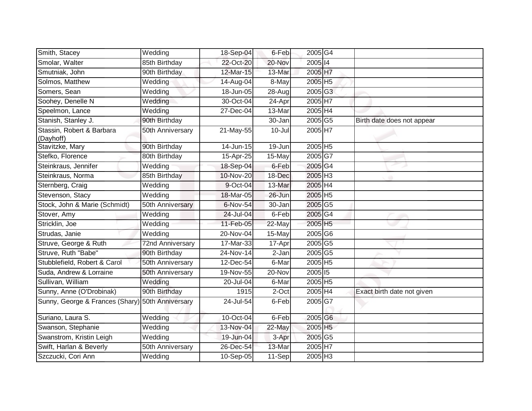| Smith, Stacey                          | Wedding                 | 18-Sep-04   | 6-Feb                | 2005 G4                                                                |                            |
|----------------------------------------|-------------------------|-------------|----------------------|------------------------------------------------------------------------|----------------------------|
| Smolar, Walter                         | 85th Birthday           | 22-Oct-20   | 20-Nov               | 2005 14                                                                |                            |
| Smutniak, John                         | 90th Birthday           | 12-Mar-15   | 13-Mar               | 2005 H7                                                                |                            |
| Solmos, Matthew                        | Wedding                 | 14-Aug-04   | 8-May                | 2005 H5                                                                |                            |
| Somers, Sean                           | Wedding                 | 18-Jun-05   | 28-Aug               | 2005 G3                                                                |                            |
| Soohey, Denelle N                      | Wedding                 | 30-Oct-04   | 24-Apr               | 2005 H7                                                                |                            |
| Speelmon, Lance                        | Wedding                 | 27-Dec-04   | 13-Mar               | 2005 H4                                                                |                            |
| Stanish, Stanley J.                    | 90th Birthday           |             | 30-Jan               | 2005 G5                                                                | Birth date does not appear |
| Stassin, Robert & Barbara<br>(Dayhoff) | 50th Anniversary        | 21-May-55   | $10 -$ Jul           | 2005 H7                                                                |                            |
| Stavitzke, Mary                        | 90th Birthday           | 14-Jun-15   | $19 - Jun$           | 2005 H5                                                                |                            |
| Stefko, Florence                       | 80th Birthday           | 15-Apr-25   | 15-May               | $2005\overline{\smash{\vert G \vert}}\overline{\smash{\vert G \vert}}$ |                            |
| Steinkraus, Jennifer                   | Wedding                 | 18-Sep-04   | 6-Feb                | 2005 G4                                                                |                            |
| Steinkraus, Norma                      | 85th Birthday           | 10-Nov-20   | 18-Dec               | 2005 H3                                                                |                            |
| Sternberg, Craig                       | Wedding                 | 9-Oct-04    | 13-Mar               | 2005 H4                                                                |                            |
| Stevenson, Stacy                       | Wedding                 | 18-Mar-05   | 26-Jun               | 2005 H5                                                                |                            |
| Stock, John & Marie (Schmidt)          | 50th Anniversary        | 6-Nov-54    | 30-Jan               | 2005 G5                                                                |                            |
| Stover, Amy                            | Wedding                 | 24-Jul-04   | 6-Feb                | 2005 G4                                                                |                            |
| Stricklin, Joe                         | Wedding                 | 11-Feb-05   | 22-May               | 2005 H5                                                                |                            |
| Strudas, Janie                         | Wedding                 | 20-Nov-04   | 15-May               | 2005 G6                                                                |                            |
| Struve, George & Ruth                  | <b>72nd Anniversary</b> | $17-Mar-33$ | 17-Apr               | 2005 G5                                                                |                            |
| Struve, Ruth "Babe"                    | 90th Birthday           | 24-Nov-14   | $\overline{2}$ -Jan  | $2005$ G5                                                              |                            |
| Stubblefield, Robert & Carol           | 50th Anniversary        | 12-Dec-54   | 6-Mar                | $2005$ H <sub>5</sub>                                                  |                            |
| Suda, Andrew & Lorraine                | 50th Anniversary        | 19-Nov-55   | 20-Nov               | 2005 15                                                                |                            |
| Sullivan, William                      | Wedding                 | 20-Jul-04   | 6-Mar                | 2005 H5                                                                |                            |
| Sunny, Anne (O'Drobinak)               | 90th Birthday           | 1915        | 2-Oct                | 2005 H4                                                                | Exact birth date not given |
| Sunny, George & Frances (Shary)        | 50th Anniversary        | 24-Jul-54   | 6-Feb                | 2005G7                                                                 |                            |
| Suriano, Laura S.                      | Wedding                 | 10-Oct-04   | 6-Feb                | 2005 G6                                                                |                            |
| Swanson, Stephanie                     | Wedding                 | 13-Nov-04   | 22-May               | 2005 H5                                                                |                            |
| Swanstrom, Kristin Leigh               | Wedding                 | 19-Jun-04   | 3-Apr                | 2005 G5                                                                |                            |
| Swift, Harlan & Beverly                | 50th Anniversary        | 26-Dec-54   | 13-Mar               | $2005$ H7                                                              |                            |
| Szczucki, Cori Ann                     | Wedding                 | 10-Sep-05   | $\overline{1}$ 1-Sep | 2005 H3                                                                |                            |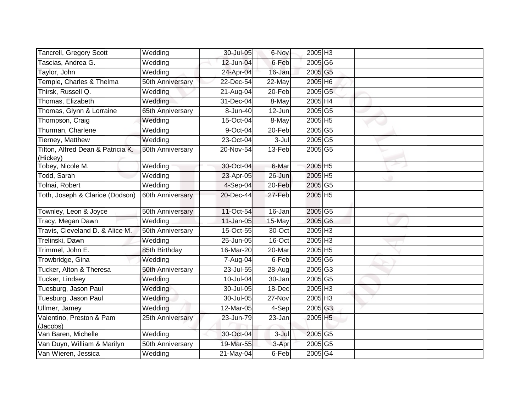| Tancrell, Gregory Scott                       | Wedding          | 30-Jul-05   | 6-Nov                | 2005 H3                                 |  |
|-----------------------------------------------|------------------|-------------|----------------------|-----------------------------------------|--|
| Tascias, Andrea G.                            | Wedding          | 12-Jun-04   | 6-Feb                | 2005 G6                                 |  |
| Taylor, John                                  | Wedding          | 24-Apr-04   | 16-Jan               | 2005 G5                                 |  |
| Temple, Charles & Thelma                      | 50th Anniversary | 22-Dec-54   | 22-May               | 2005 H6                                 |  |
| Thirsk, Russell Q.                            | Wedding          | $21-Aug-04$ | 20-Feb               | 2005 G5                                 |  |
| Thomas, Elizabeth                             | Wedding          | 31-Dec-04   | 8-May                | 2005 H4                                 |  |
| Thomas, Glynn & Lorraine                      | 65th Anniversary | 8-Jun-40    | 12-Jun               | 2005 G5                                 |  |
| Thompson, Craig                               | Wedding          | 15-Oct-04   | $8 - May$            | 2005 H5                                 |  |
| Thurman, Charlene                             | Wedding          | 9-Oct-04    | 20-Feb               | $2005\overline{\text{G5}}$              |  |
| Tierney, Matthew                              | Wedding          | 23-Oct-04   | 3-Jul                | 2005 G5                                 |  |
| Tilton, Alfred Dean & Patricia K.<br>(Hickey) | 50th Anniversary | 20-Nov-54   | 13-Feb               | 2005 G5                                 |  |
| Tobey, Nicole M.                              | Wedding          | 30-Oct-04   | 6-Mar                | 2005 H5                                 |  |
| <b>Todd, Sarah</b>                            | Wedding          | 23-Apr-05   | 26-Jun               | 2005 H <sub>5</sub>                     |  |
| Tolnai, Robert                                | Wedding          | 4-Sep-04    | 20-Feb               | 2005 G5                                 |  |
| Toth, Joseph & Clarice (Dodson)               | 60th Anniversary | 20-Dec-44   | 27-Feb               | 2005 H5                                 |  |
| Townley, Leon & Joyce                         | 50th Anniversary | 11-Oct-54   | $\overline{1}6$ -Jan | 2005 G5                                 |  |
| Tracy, Megan Dawn                             | Wedding          | 11-Jan-05   | $15$ -May            | 2005 G6                                 |  |
| Travis, Cleveland D. & Alice M.               | 50th Anniversary | $15-Ort-55$ | 30-Oct               | $2005$ H <sub>3</sub>                   |  |
| Trelinski, Dawn                               | Wedding          | 25-Jun-05   | 16-Oct               | 2005 H3                                 |  |
| Trimmel, John E.                              | 85th Birthday    | $16-Mar-20$ | 20-Mar               | 2005 H5                                 |  |
| Trowbridge, Gina                              | Wedding          | 7-Aug-04    | 6-Feb                | $2005\overline{\text{G6}}$              |  |
| Tucker, Alton & Theresa                       | 50th Anniversary | 23-Jul-55   | 28-Aug               | 2005 G3                                 |  |
| Tucker, Lindsey                               | Wedding          | 10-Jul-04   | 30-Jan               | 2005 G5                                 |  |
| Tuesburg, Jason Paul                          | Wedding          | 30-Jul-05   | 18-Dec               | 2005 H3                                 |  |
| Tuesburg, Jason Paul                          | Wedding          | 30-Jul-05   | 27-Nov               | 2005 H3                                 |  |
| Ullmer, Jamey                                 | Wedding          | 12-Mar-05   | 4-Sep                | 2005 G3                                 |  |
| Valentino, Preston & Pam<br>(Jacobs)          | 25th Anniversary | 23-Jun-79   | 23-Jan               | 2005 H5                                 |  |
| Van Baren, Michelle                           | Wedding          | 30-Oct-04   | 3-Jul                | $2005\overline{\smash{\vert G5 \vert}}$ |  |
| Van Duyn, William & Marilyn                   | 50th Anniversary | 19-Mar-55   | 3-Apr                | 2005 G5                                 |  |
| Van Wieren, Jessica                           | Wedding          | 21-May-04   | 6-Feb                | $2005\overline{\text{G4}}$              |  |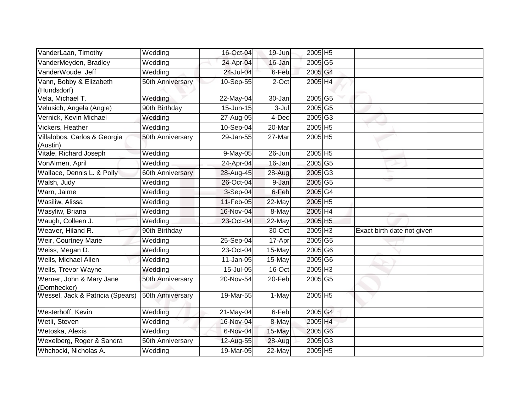| VanderLaan, Timothy                      | Wedding          | 16-Oct-04               | 19-Jun               | 2005 H5                    |                            |
|------------------------------------------|------------------|-------------------------|----------------------|----------------------------|----------------------------|
| VanderMeyden, Bradley                    | Wedding          | 24-Apr-04               | 16-Jan               | 2005 G5                    |                            |
| VanderWoude, Jeff                        | Wedding          | 24-Jul-04               | 6-Feb                | 2005 G4                    |                            |
| Vann, Bobby & Elizabeth<br>(Hundsdorf)   | 50th Anniversary | 10-Sep-55               | 2-Oct                | 2005 H4                    |                            |
| Vela, Michael T.                         | Wedding          | 22-May-04               | 30-Jan               | 2005 G5                    |                            |
| Velusich, Angela (Angie)                 | 90th Birthday    | $\overline{15}$ -Jun-15 | 3-Jul                | 2005 G5                    |                            |
| Vernick, Kevin Michael                   | Wedding          | 27-Aug-05               | 4-Dec                | $2005\overline{\text{G3}}$ |                            |
| Vickers, Heather                         | Wedding          | 10-Sep-04               | 20-Mar               | 2005 H5                    |                            |
| Villalobos, Carlos & Georgia<br>(Austin) | 50th Anniversary | 29-Jan-55               | 27-Mar               | 2005 H5                    |                            |
| Vitale, Richard Joseph                   | Wedding          | 9-May-05                | 26-Jun               | 2005 H5                    |                            |
| VonAlmen, April                          | Wedding          | 24-Apr-04               | 16-Jan               | 2005 G5                    |                            |
| Wallace, Dennis L. & Polly               | 60th Anniversary | 28-Aug-45               | 28-Aug               | 2005 G3                    |                            |
| Walsh, Judy                              | Wedding          | 26-Oct-04               | 9-Jan                | 2005 G5                    |                            |
| Warn, Jaime                              | Wedding          | 3-Sep-04                | 6-Feb                | 2005 G4                    |                            |
| Wasiliw, Alissa                          | Wedding          | 11-Feb-05               | 22-May               | 2005 H5                    |                            |
| Wasyliw, Briana                          | Wedding          | 16-Nov-04               | 8-May                | 2005 H4                    |                            |
| Waugh, Colleen J.                        | Wedding          | 23-Oct-04               | 22-May               | 2005 H5                    |                            |
| Weaver, Hiland R.                        | 90th Birthday    |                         | 30-Oct               | 2005 H3                    | Exact birth date not given |
| Weir, Courtney Marie                     | Wedding          | 25-Sep-04               | 17-Apr               | 2005 G5                    |                            |
| Weiss, Megan D.                          | Wedding          | 23-Oct-04               | 15-May               | 2005 G6                    |                            |
| Wells, Michael Allen                     | Wedding          | 11-Jan-05               | 15-May               | 2005 G6                    |                            |
| Wells, Trevor Wayne                      | Wedding          | 15-Jul-05               | 16-Oct               | 2005 H3                    |                            |
| Werner, John & Mary Jane<br>(Dornhecker) | 50th Anniversary | 20-Nov-54               | 20-Feb               | 2005 G5                    |                            |
| Wessel, Jack & Patricia (Spears)         | 50th Anniversary | 19-Mar-55               | 1-May                | 2005 H5                    |                            |
| Westerhoff, Kevin                        | Wedding          | 21-May-04               | 6-Feb                | 2005 G4                    |                            |
| Wetli, Steven                            | Wedding          | 16-Nov-04               | 8-May                | 2005 H4                    |                            |
| Wetoska, Alexis                          | Wedding          | 6-Nov-04                | 15-May               | 2005 G6                    |                            |
| Wexelberg, Roger & Sandra                | 50th Anniversary | 12-Aug-55               | 28-Aug               | 2005 G3                    |                            |
| Whchocki, Nicholas A.                    | Wedding          | 19-Mar-05               | $\overline{2}$ 2-May | 2005 H5                    |                            |